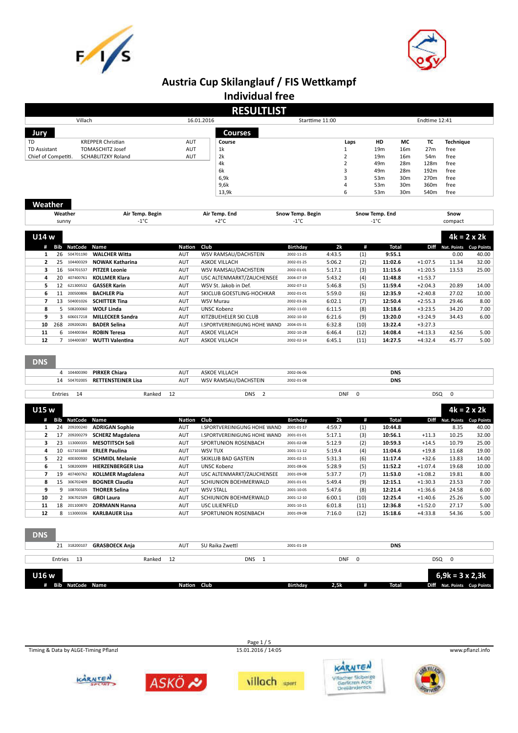



# **Austria Cup Skilanglauf / FIS Wettkampf**

|                                            |         |                |                                                      |               |            | <b>Individual free</b>              |                  |                |      |                                    |                                    |                        |                             |                    |
|--------------------------------------------|---------|----------------|------------------------------------------------------|---------------|------------|-------------------------------------|------------------|----------------|------|------------------------------------|------------------------------------|------------------------|-----------------------------|--------------------|
|                                            |         |                |                                                      |               |            | <b>RESULTLIST</b>                   |                  |                |      |                                    |                                    |                        |                             |                    |
|                                            |         | Villach        |                                                      |               | 16.01.2016 |                                     | Starttime 11:00  |                |      |                                    |                                    | Endtime 12:41          |                             |                    |
| Jury                                       |         |                |                                                      |               |            | <b>Courses</b>                      |                  |                |      |                                    |                                    |                        |                             |                    |
|                                            |         |                |                                                      |               |            |                                     |                  |                |      |                                    |                                    |                        |                             |                    |
| TD                                         |         |                | <b>KREPPER Christian</b>                             | AUT           |            | Course                              |                  |                | Laps | HD                                 | МC                                 | TC.                    | <b>Technique</b>            |                    |
| <b>TD Assistant</b><br>Chief of Competiti. |         |                | <b>TOMASCHITZ Josef</b><br><b>SCHABLITZKY Roland</b> | AUT<br>AUT    |            | 1k<br>2k                            |                  | $\overline{2}$ |      | 19 <sub>m</sub><br>19 <sub>m</sub> | 16 <sub>m</sub><br>16 <sub>m</sub> | 27 <sub>m</sub><br>54m | free<br>free                |                    |
|                                            |         |                |                                                      |               |            | 4k                                  |                  | 2              |      | 49m                                | 28m                                | 128m                   | free                        |                    |
|                                            |         |                |                                                      |               |            | 6k                                  |                  | 3              |      | 49 <sub>m</sub>                    | 28m                                | 192m                   | free                        |                    |
|                                            |         |                |                                                      |               |            | 6,9k                                |                  | 3              |      | 53m                                | 30 <sub>m</sub>                    | 270m                   | free                        |                    |
|                                            |         |                |                                                      |               |            | 9,6k                                |                  |                |      | 53m                                | 30 <sub>m</sub>                    | 360m                   | free                        |                    |
|                                            |         |                |                                                      |               |            | 13,9k                               |                  | 6              |      | 53m                                | 30 <sub>m</sub>                    | 540m                   | free                        |                    |
|                                            |         |                |                                                      |               |            |                                     |                  |                |      |                                    |                                    |                        |                             |                    |
| Weather                                    |         |                |                                                      |               |            |                                     |                  |                |      |                                    |                                    |                        |                             |                    |
|                                            | Weather |                | Air Temp. Begin                                      |               |            | Air Temp. End                       | Snow Temp. Begin |                |      | Snow Temp. End                     |                                    |                        | Snow                        |                    |
|                                            | sunny   |                | $-1^{\circ}$ C                                       |               |            | $+2^{\circ}C$                       | $-1^{\circ}$ C   |                |      | $-1^{\circ}$ C                     |                                    |                        | compact                     |                    |
|                                            |         |                |                                                      |               |            |                                     |                  |                |      |                                    |                                    |                        |                             |                    |
| U14 w                                      |         |                |                                                      |               |            |                                     |                  |                |      |                                    |                                    |                        |                             | $4k = 2 \times 2k$ |
|                                            | Bib     | <b>NatCode</b> | Name                                                 | <b>Nation</b> | Club       |                                     | Birthday         | 2k             | #    |                                    | <b>Total</b>                       |                        | Diff Nat. Points Cup Points |                    |
| $\mathbf{1}$                               | 26      | 504701190      | <b>WALCHER Witta</b>                                 | <b>AUT</b>    |            | WSV RAMSAU/DACHSTEIN                | 2002-11-25       | 4:43.5         | (1)  | 9:55.1                             |                                    |                        | 0.00                        | 40.00              |
| $\mathbf{2}$                               | 25      | 104400329      | <b>NOWAK Katharina</b>                               | <b>AUT</b>    |            | <b>ASKOE VILLACH</b>                | 2002-01-25       | 5:06.2         | (2)  | 11:02.6                            |                                    | $+1:07.5$              | 11.34                       | 32.00              |
| з                                          | 16      | 504701537      | <b>PITZER Leonie</b>                                 | <b>AUT</b>    |            | WSV RAMSAU/DACHSTEIN                | 2002-01-01       | 5:17.1         | (3)  | 11:15.6                            |                                    | $+1:20.5$              | 13.53                       | 25.00              |
| 4                                          | 20      | 407400761      | <b>KOLLMER Klara</b>                                 | <b>AUT</b>    |            | USC ALTENMARKT/ZAUCHENSEE           | 2004-07-19       | 5:43.2         | (4)  | 11:48.8                            |                                    | $+1:53.7$              |                             |                    |
| 5                                          | 12      | 621300532      | <b>GASSER Karin</b>                                  | <b>AUT</b>    |            | WSV St. Jakob in Def.               | 2002-07-13       | 5:46.8         | (5)  | 11:59.4                            |                                    | $+2:04.3$              | 20.89                       | 14.00              |
| 6                                          | 11      | 200500806      | <b>BACHLER Pia</b>                                   | <b>AUT</b>    |            | SKICLUB GOESTLING-HOCHKAR           | 2002-01-01       | 5:59.0         | (6)  | 12:35.9                            |                                    | $+2:40.8$              | 27.02                       | 10.00              |
| 7                                          | 13      | 504001026      | <b>SCHITTER Tina</b>                                 | <b>AUT</b>    |            | <b>WSV Murau</b>                    | 2002-03-26       | 6:02.1         | (7)  | 12:50.4                            |                                    | $+2:55.3$              | 29.46                       | 8.00               |
| 8                                          | 5       | 508200060      | <b>WOLF Linda</b>                                    | <b>AUT</b>    |            | <b>UNSC Kobenz</b>                  | 2002-11-03       | 6:11.5         | (8)  | 13:18.6                            |                                    | $+3:23.5$              | 34.20                       | 7.00               |
| q                                          | 3       | 606017218      | <b>MILLECKER Sandra</b>                              | <b>AUT</b>    |            | KITZBUEHELER SKI CLUB               | 2002-10-10       | 6:21.6         | (9)  | 13:20.0                            |                                    | $+3:24.9$              | 34.43                       | 6.00               |
| 10                                         | 268     | 209200281      | <b>BADER Selina</b>                                  | <b>AUT</b>    |            | <b>I.SPORTVEREINIGUNG HOHE WAND</b> | 2004-05-31       | 6:32.8         | (10) | 13:22.4                            |                                    | $+3:27.3$              |                             |                    |
| 11                                         |         | 6 104400364    | <b>ROBIN Teresa</b>                                  | <b>AUT</b>    |            | <b>ASKOE VILLACH</b>                | 2002-10-28       | 6:46.4         | (12) | 14:08.4                            |                                    | $+4:13.3$              | 42.56                       | 5.00               |
| 12                                         |         | 7 104400387    | <b>WUTTI Valentina</b>                               | AUT           |            | <b>ASKOE VILLACH</b>                | 2002-02-14       | 6:45.1         | (11) | 14:27.5                            |                                    | $+4:32.4$              | 45.77                       | 5.00               |
|                                            |         |                |                                                      |               |            |                                     |                  |                |      |                                    |                                    |                        |                             |                    |

| 104400390       | <b>PIRKER Chiara</b> | AUT | ASKOE VILLACH        | 2002-06-06 |            | <b>DNS</b> |
|-----------------|----------------------|-----|----------------------|------------|------------|------------|
| 504702005<br>14 | RETTENSTEINER Lisa   | AUT | WSV RAMSAU/DACHSTEIN | 2002-01-08 |            | <b>DNS</b> |
| Entries<br>14   | Ranked               |     | <b>DNS</b>           |            | <b>DNF</b> | DSQ        |

| <b>U15 w</b> |     |             |                           |            |                              |            |        |      |         |           |             | $4k = 2 \times 2k$ |
|--------------|-----|-------------|---------------------------|------------|------------------------------|------------|--------|------|---------|-----------|-------------|--------------------|
| #            | Bib | NatCode     | <b>Name</b>               | Nation     | Club                         | Birthday   | 2k     | #    | Total   | Diff      | Nat. Points | <b>Cup Points</b>  |
|              | 24  | 209200240   | <b>ADRIGAN Sophie</b>     | AUT        | I.SPORTVEREINIGUNG HOHE WAND | 2001-01-17 | 4:59.7 | (1)  | 10:44.8 |           | 8.35        | 40.00              |
| 2            | 17  | 209200279   | <b>SCHERZ Magdalena</b>   | AUT        | I.SPORTVEREINIGUNG HOHE WAND | 2001-01-01 | 5:17.1 | (3)  | 10:56.1 | $+11.3$   | 10.25       | 32.00              |
| 3            | 23  | 113000335   | <b>MESOTITSCH Soli</b>    | AUT        | SPORTUNION ROSENBACH         | 2001-02-08 | 5:12.9 | (2)  | 10:59.3 | $+14.5$   | 10.79       | 25.00              |
| 4            | 10  | 617101688   | <b>ERLER Paulina</b>      | AUT        | WSV TUX                      | 2001-11-12 | 5:19.4 | (4)  | 11:04.6 | $+19.8$   | 11.68       | 19.00              |
| 5.           | 22  | 400300930   | <b>SCHMIDL Melanie</b>    | AUT        | SKIKLUB BAD GASTEIN          | 2001-02-15 | 5:31.3 | (6)  | 11:17.4 | $+32.6$   | 13.83       | 14.00              |
| 6            |     | 508200099   | <b>HIERZENBERGER Lisa</b> | <b>AUT</b> | <b>UNSC Kobenz</b>           | 2001-08-06 | 5:28.9 | (5)  | 11:52.2 | $+1:07.4$ | 19.68       | 10.00              |
| 7            | 19  | 407400762   | <b>KOLLMER Magdalena</b>  | <b>AUT</b> | USC ALTENMARKT/ZAUCHENSEE    | 2001-09-08 | 5:37.7 | (7)  | 11:53.0 | $+1:08.2$ | 19.81       | 8.00               |
| 8            | 15  | 306702409   | <b>BOGNER Claudia</b>     | <b>AUT</b> | SCHIUNION BOEHMERWALD        | 2001-01-01 | 5:49.4 | (9)  | 12:15.1 | $+1:30.3$ | 23.53       | 7.00               |
| 9            |     | 108700105   | <b>THORER Selina</b>      | AUT        | <b>WSV STALL</b>             | 2001-10-05 | 5:47.6 | (8)  | 12:21.4 | $+1:36.6$ | 24.58       | 6.00               |
| 10           |     | 2 306702509 | <b>GROI Laura</b>         | AUT        | SCHIUNION BOEHMERWALD        | 2001-12-10 | 6:00.1 | (10) | 12:25.4 | $+1:40.6$ | 25.26       | 5.00               |
| 11           | 18  | 201100870   | <b>ZORMANN Hanna</b>      | <b>AUT</b> | USC LILIENFELD               | 2001-10-15 | 6:01.8 | (11) | 12:36.8 | $+1:52.0$ | 27.17       | 5.00               |
| 12           | 8   | 113000336   | <b>KARLBAUER Lisa</b>     | AUT        | SPORTUNION ROSENBACH         | 2001-09-08 | 7:16.0 | (12) | 15:18.6 | $+4:33.8$ | 54.36       | 5.00               |

**DNS**

| <b>GRASBOECK Ania</b><br>21 318200107 |        | AUT         | SU Raika Zwettl | 2001-01-19              |   | <b>DNS</b> |                             |
|---------------------------------------|--------|-------------|-----------------|-------------------------|---|------------|-----------------------------|
|                                       |        |             |                 |                         |   |            |                             |
| Entries<br>- 13                       | Ranked | -12         | <b>DNS</b>      | <b>DNF</b>              |   |            | <b>DSQ</b>                  |
| U16 w                                 |        |             |                 |                         |   |            | 6,9k = 3 x 2,3k             |
| # Bib NatCode Name                    |        | Nation Club |                 | <b>Birthdav</b><br>2,5k | Æ | Total      | Diff Nat. Points Cup Points |

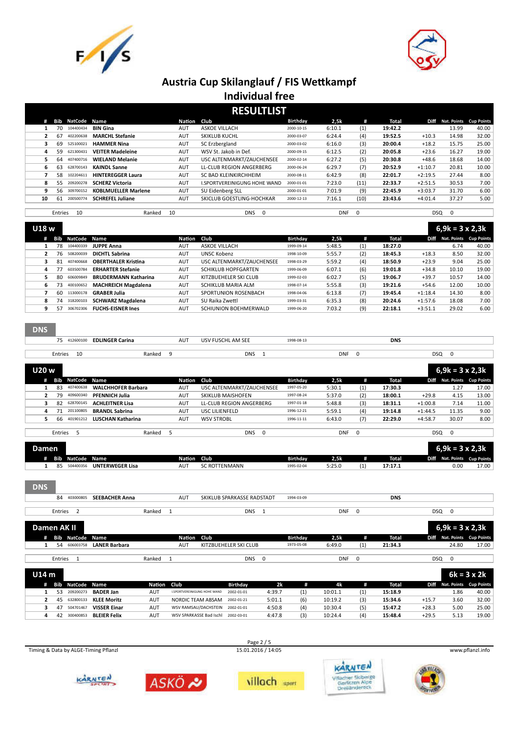



| <b>RESULTLIST</b> |         |           |                            |            |                                 |            |            |          |         |            |             |                   |  |
|-------------------|---------|-----------|----------------------------|------------|---------------------------------|------------|------------|----------|---------|------------|-------------|-------------------|--|
| #                 | Bib     | NatCode   | Name                       | Nation     | Club                            | Birthday   | 2.5k       | #        | Total   | Diff       | Nat. Points | <b>Cup Points</b> |  |
|                   | 70      | 104400434 | <b>BIN Gina</b>            | AUT        | <b>ASKOE VILLACH</b>            | 2000-10-15 | 6:10.1     | (1)      | 19:42.2 |            | 13.99       | 40.00             |  |
| $\overline{2}$    | 67      | 402200638 | <b>MARCHL Stefanie</b>     | AUT        | <b>SKIKLUB KUCHL</b>            | 2000-03-07 | 6:24.4     | (4)      | 19:52.5 | $+10.3$    | 14.98       | 32.00             |  |
| 3                 | 69      | 525100021 | <b>HAMMER Nina</b>         | <b>AUT</b> | SC Erzbergland                  | 2000-03-02 | 6:16.0     | (3)      | 20:00.4 | $+18.2$    | 15.75       | 25.00             |  |
| 4                 | 59      | 621300431 | <b>VEITER Madeleine</b>    | AUT        | WSV St. Jakob in Def.           | 2000-09-15 | 6:12.5     | (2)      | 20:05.8 | $+23.6$    | 16.27       | 19.00             |  |
| 5.                | 64      | 407400716 | <b>WIELAND Melanie</b>     | <b>AUT</b> | USC ALTENMARKT/ZAUCHENSEE       | 2000-02-14 | 6:27.2     | (5)      | 20:30.8 | $+48.6$    | 18.68       | 14.00             |  |
| 6                 | 63      | 628700143 | <b>KAINDL Sanne</b>        | <b>AUT</b> | <b>LL-CLUB REGION ANGERBERG</b> | 2000-06-24 | 6:29.7     | (7)      | 20:52.9 | $+1:10.7$  | 20.81       | 10.00             |  |
|                   | 58      | 102204611 | <b>HINTEREGGER Laura</b>   | AUT        | SC BAD KLEINKIRCHHEIM           | 2000-08-11 | 6:42.9     | (8)      | 22:01.7 | $+2:19.5$  | 27.44       | 8.00              |  |
| 8                 | 55      | 209200278 | <b>SCHERZ Victoria</b>     | AUT        | I.SPORTVEREINIGUNG HOHE WAND    | 2000-01-01 | 7:23.0     | (11)     | 22:33.7 | $+2:51.5$  | 30.53       | 7.00              |  |
| 9                 | 56      | 309700152 | <b>KOBLMUELLER Marlene</b> | <b>AUT</b> | SU Eidenberg SLL                | 2000-01-01 | 7:01.9     | (9)      | 22:45.9 | $+3:03.7$  | 31.70       | 6.00              |  |
| 10                | 61      | 200500774 | <b>SCHREFEL Juliane</b>    | <b>AUT</b> | SKICLUB GOESTLING-HOCHKAR       | 2000-12-13 | 7:16.1     | (10)     | 23:43.6 | $+4:01.4$  | 37.27       | 5.00              |  |
|                   |         |           |                            |            |                                 |            |            |          |         |            |             |                   |  |
|                   | Entries | 10        | Ranked                     | 10         | <b>DNS</b><br>$\Omega$          |            | <b>DNF</b> | $\Omega$ |         | <b>DSQ</b> | $\mathbf 0$ |                   |  |

| U18 w |     |                |                             |             |                            |            |        |     |         |           | $6,9k = 3 \times 2,3k$ |       |
|-------|-----|----------------|-----------------------------|-------------|----------------------------|------------|--------|-----|---------|-----------|------------------------|-------|
| #     | Bib | <b>NatCode</b> | Name                        | Nation Club |                            | Birthday   | 2,5k   | #   | Total   | Diff.     | Nat. Points Cup Points |       |
|       | 78  | 104400339      | <b>JUPPE Anna</b>           | <b>AUT</b>  | <b>ASKOE VILLACH</b>       | 1999-09-14 | 5:48.5 | (1) | 18:27.0 |           | 6.74                   | 40.00 |
|       | 76  | 508200039      | <b>DICHTL Sabrina</b>       | AUT         | UNSC Kobenz                | 1998-10-09 | 5:55.7 | (2) | 18:45.3 | $+18.3$   | 8.50                   | 32.00 |
|       | 81  | 407400668      | <b>OBERTHALER Kristina</b>  | AUT         | USC ALTENMARKT/ZAUCHENSEE  | 1998-03-29 | 5:59.2 | (4) | 18:50.9 | $+23.9$   | 9.04                   | 25.00 |
| 4     | 77  | 603500784      | <b>ERHARTER Stefanie</b>    | AUT         | <b>SCHIKLUB HOPFGARTEN</b> | 1999-06-09 | 6:07.1 | (6) | 19:01.8 | $+34.8$   | 10.10                  | 19.00 |
| 5.    | 80  | 606009849      | <b>BRUDERMANN Katharina</b> | AUT         | KITZBUEHELER SKI CLUB      | 1999-02-03 | 6:02.7 | (5) | 19:06.7 | $+39.7$   | 10.57                  | 14.00 |
| 6     | 73  | 400100652      | <b>MACHREICH Magdalena</b>  | AUT         | SCHIKLUB MARIA ALM         | 1998-07-14 | 5:55.8 | (3) | 19:21.6 | $+54.6$   | 12.00                  | 10.00 |
|       | 60  | 113000178      | <b>GRABER Julia</b>         | AUT         | SPORTUNION ROSENBACH       | 1998-04-06 | 6:13.8 | (7) | 19:45.4 | $+1:18.4$ | 14.30                  | 8.00  |
| 8     | 74  | 318200103      | <b>SCHWARZ Magdalena</b>    | AUT         | SU Raika Zwettl            | 1999-03-31 | 6:35.3 | (8) | 20:24.6 | $+1:57.6$ | 18.08                  | 7.00  |
| 9     | 57  | 306702306      | <b>FUCHS-EISNER Ines</b>    | AUT         | SCHIUNION BOEHMERWALD      | 1999-06-20 | 7:03.2 | (9) | 22:18.1 | $+3:51.1$ | 29.02                  | 6.00  |

#### **DNS**

| $ -$ | <b>EXAMPLE Carina</b> |        | AUT | AM SEE<br>AN.<br>$\tilde{\phantom{a}}$ | $-8 - 0.8 - 1$ |            | <b>DNS</b> |     |  |
|------|-----------------------|--------|-----|----------------------------------------|----------------|------------|------------|-----|--|
|      |                       |        |     |                                        |                |            |            |     |  |
|      |                       | ankar' |     | <b>DNS</b>                             |                | <b>DNF</b> |            | DSQ |  |

| U20W |     |              |                           |             |                           |            |        |     |              |           | $6,9k = 3 \times 2,3k$ |       |
|------|-----|--------------|---------------------------|-------------|---------------------------|------------|--------|-----|--------------|-----------|------------------------|-------|
|      | Bib | NatCode Name |                           | Nation Club |                           | Birthday   | 2,5k   | (#  | <b>Total</b> | Diff      | Nat. Points Cup Points |       |
|      | 83  | 407400638    | <b>WALCHHOFER Barbara</b> | AUT         | USC ALTENMARKT/ZAUCHENSEE | 1997-05-20 | 5:30.1 | (1) | 17:30.3      |           | 1.27                   | 17.00 |
|      | 79  | 409600340    | <b>PFENNICH Julia</b>     | <b>AUT</b>  | <b>SKIKLUB MAISHOFEN</b>  | 1997-08-24 | 5:37.0 | (2) | 18:00.1      | $+29.8$   | 4.15                   | 13.00 |
|      | 82  | 628700145    | <b>ACHLEITNER Lisa</b>    | <b>AUT</b>  | LL-CLUB REGION ANGERBERG  | 1997-01-18 | 5:48.8 | (3) | 18:31.1      | $+1:00.8$ | 7.14                   | 11.00 |
|      |     | 201100805    | <b>BRANDL Sabrina</b>     | <b>AUT</b>  | USC LILIENFELD            | 1996-12-21 | 5:59.1 | (4) | 19:14.8      | $+1:44.5$ | 11.35                  | 9.00  |
|      | 66  | 401901212    | LUSCHAN Katharina         | AUT         | <b>WSV STROBL</b>         | 1996-11-11 | 6:43.0 | (7) | 22:29.0      | $+4:58.7$ | 30.07                  | 8.00  |
|      |     |              |                           |             |                           |            |        |     |              |           |                        |       |

|         | Entries |                         |                        | Ranked |             | <b>DNS</b>           |            | <b>DNF</b> |   |         | DSO         |                        |                        |
|---------|---------|-------------------------|------------------------|--------|-------------|----------------------|------------|------------|---|---------|-------------|------------------------|------------------------|
| Damen i |         |                         |                        |        |             |                      |            |            |   |         |             | $6.9k = 3 \times 2.3k$ |                        |
|         |         | <b>Bib NatCode Name</b> |                        |        | Nation Club |                      | Birthday   | 2,5k       | # | Total   | <b>Diff</b> |                        | Nat. Points Cup Points |
|         | 85      | 504400356               | <b>UNTERWEGER Lisa</b> |        | AUT         | <b>SC ROTTENMANN</b> | 1995-02-04 | 5:25.0     |   | 17:17.1 |             | 0.00                   | 17.00                  |

**DNS**

| <b>SEEBACHER Anna</b><br>40300080<br>84 |        | AU1 | SKIKLUB SPARKASSE RADSTADT | 1994-03-09 | <b>DNS</b> |
|-----------------------------------------|--------|-----|----------------------------|------------|------------|
|                                         |        |     |                            |            |            |
| Entries                                 | Ranked |     | <b>DNS</b>                 | <b>DNF</b> | DSQ        |
|                                         |        |     |                            |            |            |

| Damen AK II        |                      |        |             |                       |            |            |   |         |            | $6,9k = 3 \times 2,3k$ |                             |
|--------------------|----------------------|--------|-------------|-----------------------|------------|------------|---|---------|------------|------------------------|-----------------------------|
| # Bib NatCode Name |                      |        | Nation Club |                       | Birthdav   | 2,5k       | # | Total   |            |                        | Diff Nat. Points Cup Points |
| 54 606003758       | <b>LANER Barbara</b> |        | AUT         | KITZBUEHELER SKI CLUB | 1973-05-08 | 6:49.0     |   | 21:34.3 |            | 24.80                  | 17.00                       |
|                    |                      |        |             |                       |            |            |   |         |            |                        |                             |
| Entries            |                      | Ranked |             | DNS.                  |            | <b>DNF</b> |   |         | <b>DSQ</b> |                        |                             |
|                    |                      |        |             |                       |            |            |   |         |            |                        |                             |

| U14m |   |     |              |                     |             |                                 |            |           |     |         |     |         |         | $6k = 3 \times 2k$ |                             |
|------|---|-----|--------------|---------------------|-------------|---------------------------------|------------|-----------|-----|---------|-----|---------|---------|--------------------|-----------------------------|
|      | # | Bib | NatCode Name |                     | Nation Club |                                 | Birthday   | <b>2k</b> |     | 4k      | #   | Total   |         |                    | Diff Nat. Points Cup Points |
|      |   | -53 | 209200273    | <b>BADER Jan</b>    | AUT         | I.SPORTVEREINIGUNG HOHE WAND    | 2002-01-01 | 4:39.7    | (1) | 10:01.1 | (1) | 15:18.9 |         | 1.86               | 40.00                       |
|      |   | 45  | 632800133    | KLEE Moritz         | <b>AUT</b>  | NORDIC TEAM ABSAM               | 2002-01-21 | 5:01.1    | (6) | 10:19.2 | (3) | 15:34.6 | $+15.7$ | 3.60               | 32.00                       |
|      |   | 47  | 504701467    | <b>VISSER Einar</b> | <b>AUT</b>  | WSV RAMSAU/DACHSTEIN 2002-01-01 |            | 4:50.8    | (4) | 10:30.4 | (5) | 15:47.2 | $+28.3$ | 5.00               | 25.00                       |
|      | 4 | 42  | 300400853    | <b>BLEIER Felix</b> | AUT         | WSV SPARKASSE Bad Ischl         | 2002-03-01 | 4:47.8    | (3) | 10:24.4 | (4) | 15:48.4 | $+29.5$ | 5.13               | 19.00                       |
|      |   |     |              |                     |             |                                 |            |           |     |         |     |         |         |                    |                             |

Page  $2/5$ <br>15.01.2016 / 14:05











Timing & Data by ALGE-Timing Pflanzl 15.01.2016 / 14:05 15.01.2016 / 14:05 www.pflanzl.info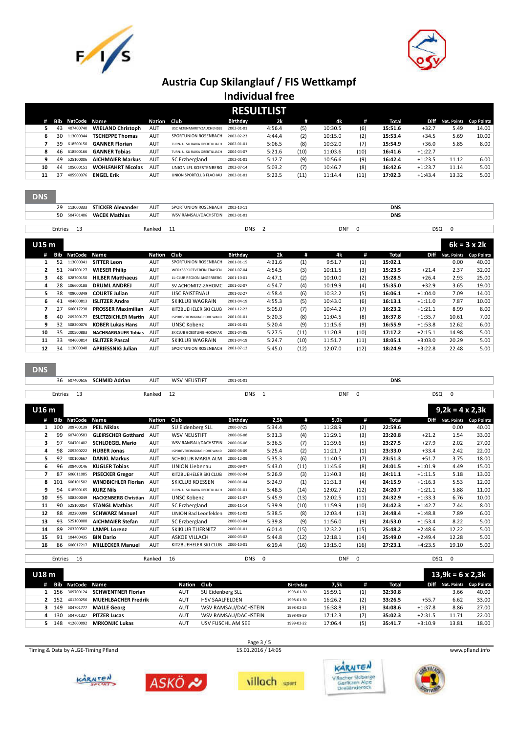



|    | <b>RESULTLIST</b> |              |                          |        |                                |            |        |      |         |      |         |           |                             |       |
|----|-------------------|--------------|--------------------------|--------|--------------------------------|------------|--------|------|---------|------|---------|-----------|-----------------------------|-------|
| Æ. | Bib               | NatCode Name |                          | Nation | Club                           | Birthday   | 2k     | m    | 4k      | #    | Total   |           | Diff Nat. Points Cup Points |       |
|    | 43                | 407400740    | <b>WIELAND Christoph</b> | AUT    | USC ALTENMARKT/ZAUCHENSEE      | 2002-01-01 | 4:56.4 | (5)  | 10:30.5 | (6)  | 15:51.6 | $+32.7$   | 5.49                        | 14.00 |
| 6  | 30                | 113000344    | <b>TSCHEPPE Thomas</b>   | AUT    | SPORTUNION ROSENBACH           | 2002-02-23 | 4:44.4 | (2)  | 10:15.0 | (2)  | 15:53.4 | $+34.5$   | 5.69                        | 10.00 |
|    | 39                | 618500150    | <b>GANNER Florian</b>    | AUT    | TURN- U. SU RAIKA OBERTILLIACH | 2002-01-01 | 5:06.5 | (8)  | 10:32.0 | (7)  | 15:54.9 | $+36.0$   | 5.85                        | 8.00  |
|    | 46                | 618500166    | <b>GANNER Tobias</b>     | AUT    | TURN- U. SU RAIKA OBERTILLIACH | 2004-04-07 | 5:21.6 | (10) | 11:03.6 | (10) | 16:41.6 | $+1:22.7$ |                             |       |
| ٩  | 49                | 525100006    | <b>AICHMAIER Markus</b>  | AUT    | SC Erzbergland                 | 2002-01-01 | 5:12.7 | (9)  | 10:56.6 | (9)  | 16:42.4 | $+1:23.5$ | 11.12                       | 6.00  |
| 10 | 44                | 105000151    | <b>WOHLFAHRT Nicolas</b> | AUT    | UNION LFL KOESTENBERG          | 2002-07-14 | 5:03.2 | (7)  | 10:46.7 | (8)  | 16:42.6 | $+1:23.7$ | 11.14                       | 5.00  |
| 11 | 37                | 405900376    | <b>ENGEL Erik</b>        | AUT    | UNION SPORTCLUB FLACHAU        | 2002-01-01 | 5:23.5 | (11) | 11:14.4 | (11) | 17:02.3 | $+1:43.4$ | 13.32                       | 5.00  |
|    |                   |              |                          |        |                                |            |        |      |         |      |         |           |                             |       |

| <b>DNS</b> |            |                                |            |                                 |            |            |            |            |  |
|------------|------------|--------------------------------|------------|---------------------------------|------------|------------|------------|------------|--|
|            |            | 29 113000333 STICKER Alexander | AUT        | SPORTUNION ROSENBACH 2002-10-11 |            |            | <b>DNS</b> |            |  |
|            |            | 50 504701406 VACEK Mathias     | <b>AUT</b> | WSV RAMSAU/DACHSTEIN 2002-01-01 |            |            | <b>DNS</b> |            |  |
|            |            |                                |            |                                 |            |            |            |            |  |
|            | Entries 13 |                                | Ranked     |                                 | <b>DNS</b> | <b>DNF</b> |            | <b>DSQ</b> |  |

| U15 m          |     |           |                             |            |                                     |            |        |      |         |      |         |           |             | $6k = 3 \times 2k$ |
|----------------|-----|-----------|-----------------------------|------------|-------------------------------------|------------|--------|------|---------|------|---------|-----------|-------------|--------------------|
| #              | Bib | NatCode   | Name                        | Nation     | Club                                | Birthdav   | 2k     | #    | 4k      | #    | Total   | Diff      | Nat. Points | <b>Cup Points</b>  |
|                | 52  | 113000341 | <b>SITTER Leon</b>          | <b>AUT</b> | SPORTUNION ROSENBACH                | 2001-01-15 | 4:31.6 | (1)  | 9:51.7  | (1)  | 15:02.1 |           | 0.00        | 40.00              |
| $\overline{2}$ | 51  | 204700127 | <b>WIESER Philip</b>        | AUT        | <b>WERKSSPORTVEREIN TRAISEN</b>     | 2001-07-04 | 4:54.5 | (3)  | 10:11.5 | (3)  | 15:23.5 | $+21.4$   | 2.37        | 32.00              |
| 3              | 48  | 628700150 | <b>HILBER Matthaeus</b>     | <b>AUT</b> | LL-CLUB REGION ANGERBERG            | 2001-10-01 | 4:47.1 | (2)  | 10:10.0 | (2)  | 15:28.5 | $+26.4$   | 2.93        | 25.00              |
| 4              | 28  | 106600188 | <b>DRUML ANDREJ</b>         | <b>AUT</b> | SV ACHOMITZ-ZAHOMC                  | 2001-02-07 | 4:54.7 | (4)  | 10:19.9 | (4)  | 15:35.0 | $+32.9$   | 3.65        | 19.00              |
| 5              | 38  | 409000349 | <b>COURTE Julian</b>        | <b>AUT</b> | <b>USC FAISTENAU</b>                | 2001-02-27 | 4:58.4 | (6)  | 10:32.2 | (5)  | 16:06.1 | $+1:04.0$ | 7.09        | 14.00              |
| 6              | 41  | 404600813 | <b>ISLITZER Andre</b>       | <b>AUT</b> | <b>SKIKLUB WAGRAIN</b>              | 2001-04-19 | 4:55.3 | (5)  | 10:43.0 | (6)  | 16:13.1 | $+1:11.0$ | 7.87        | 10.00              |
| 7              | 27  | 606017238 | <b>PROSSER Maximilian</b>   | <b>AUT</b> | KITZBUEHELER SKI CLUB               | 2001-12-22 | 5:05.0 | (7)  | 10:44.2 | (7)  | 16:23.2 | $+1:21.1$ | 8.99        | 8.00               |
| 8              | 40  | 209200177 | <b>ESLETZBICHLER Martin</b> | AUT        | <b>I.SPORTVEREINIGUNG HOHE WAND</b> | 2001-01-01 | 5:20.3 | (8)  | 11:04.5 | (8)  | 16:37.8 | $+1:35.7$ | 10.61       | 7.00               |
| 9              | 32  | 508200076 | <b>KOBER Lukas Hans</b>     | <b>AUT</b> | UNSC Kobenz                         | 2001-01-01 | 5:20.4 | (9)  | 11:15.6 | (9)  | 16:55.9 | $+1:53.8$ | 12.62       | 6.00               |
| 10             | 35  | 200500883 | <b>NACHBARGAUER Tobias</b>  | <b>AUT</b> | SKICLUB GOESTLING-HOCHKAR           | 2001-04-05 | 5:27.5 | (11) | 11:20.8 | (10) | 17:17.2 | $+2:15.1$ | 14.98       | 5.00               |
| 11             | 33  | 404600814 | <b>ISLITZER Pascal</b>      | <b>AUT</b> | <b>SKIKLUB WAGRAIN</b>              | 2001-04-19 | 5:24.7 | (10) | 11:51.7 | (11) | 18:05.1 | $+3:03.0$ | 20.29       | 5.00               |
| 12             | 34  | 113000348 | <b>APRIESSNIG Julian</b>    | AUT        | SPORTUNION ROSENBACH                | 2001-07-12 | 5:45.0 | (12) | 12:07.0 | (12) | 18:24.9 | $+3:22.8$ | 22.48       | 5.00               |

#### **DNS**

| 607400616<br>56 | <b>SCHMID Adrian</b> | AUT    | EUSTIFT<br>$MCMN^T$ | 2001-01-01<br>. |            | <b>DNS</b> |  |
|-----------------|----------------------|--------|---------------------|-----------------|------------|------------|--|
|                 |                      |        |                     |                 |            |            |  |
| ntries          |                      | Ranked |                     | <b>DNS</b>      | <b>DNF</b> | <b>DSQ</b> |  |

| U16 m |    |                |                |                             |               |                                |            |          |      |            |          |         |           | $9,2k = 4 \times 2,3k$ |                   |
|-------|----|----------------|----------------|-----------------------------|---------------|--------------------------------|------------|----------|------|------------|----------|---------|-----------|------------------------|-------------------|
|       |    | Bib            | <b>NatCode</b> | Name                        | <b>Nation</b> | Club                           | Birthday   | 2,5k     | #    | 5,0k       | #        | Total   | Diff      | Nat. Points            | <b>Cup Points</b> |
|       |    | 100            | 309700139      | <b>PEIL Niklas</b>          | <b>AUT</b>    | SU Eidenberg SLL               | 2000-07-25 | 5:34.4   | (5)  | 11:28.9    | (2)      | 22:59.6 |           | 0.00                   | 40.00             |
|       | 2  | 99             | 607400583      | <b>GLEIRSCHER Gotthard</b>  | <b>AUT</b>    | <b>WSV NEUSTIFT</b>            | 2000-06-08 | 5:31.3   | (4)  | 11:29.1    | (3)      | 23:20.8 | $+21.2$   | 1.54                   | 33.00             |
|       | 3  | 97             | 504701402      | <b>SCHLOEGEL Mario</b>      | <b>AUT</b>    | WSV RAMSAU/DACHSTEIN           | 2000-06-06 | 5:36.5   | (7)  | 11:39.6    | (5)      | 23:27.5 | $+27.9$   | 2.02                   | 27.00             |
|       | 4  | 98             | 209200222      | <b>HUBER Jonas</b>          | <b>AUT</b>    | I.SPORTVEREINIGUNG HOHE WAND   | 2000-08-09 | 5:25.4   | (2)  | 11:21.7    | (1)      | 23:33.0 | $+33.4$   | 2.42                   | 22.00             |
|       | 5  | 92             | 400100667      | <b>DANKL Markus</b>         | <b>AUT</b>    | SCHIKLUB MARIA ALM             | 2000-12-09 | 5:35.3   | (6)  | 11:40.5    | (7)      | 23:51.3 | $+51.7$   | 3.75                   | 18.00             |
|       | 6  | 96             | 308400146      | <b>KUGLER Tobias</b>        | <b>AUT</b>    | <b>UNION Liebenau</b>          | 2000-09-07 | 5:43.0   | (11) | 11:45.6    | (8)      | 24:01.5 | $+1:01.9$ | 4.49                   | 15.00             |
|       | 7  | 87             | 606011085      | <b>PISECKER Gregor</b>      | <b>AUT</b>    | KITZBUEHELER SKI CLUB          | 2000-02-04 | 5:26.9   | (3)  | 11:40.3    | (6)      | 24:11.1 | $+1:11.5$ | 5.18                   | 13.00             |
|       | 8  | 101            | 606101502      | <b>WINDBICHLER Florian</b>  | <b>AUT</b>    | <b>SKICLUB KOESSEN</b>         | 2000-01-04 | 5:24.9   | (1)  | 11:31.3    | (4)      | 24:15.9 | $+1:16.3$ | 5.53                   | 12.00             |
|       | 9  | 94             | 618500165      | <b>KURZ Nils</b>            | <b>AUT</b>    | TURN- U. SU RAIKA OBERTILLIACH | 2000-01-01 | 5:48.5   | (14) | 12:02.7    | (12)     | 24:20.7 | $+1:21.1$ | 5.88                   | 11.00             |
|       | 10 | 95             | 508200049      | <b>HACKENBERG Christian</b> | <b>AUT</b>    | <b>UNSC Kobenz</b>             | 2000-11-07 | 5:45.9   | (13) | 12:02.5    | (11)     | 24:32.9 | $+1:33.3$ | 6.76                   | 10.00             |
|       | 11 | 90             | 525100054      | <b>STANGL Mathias</b>       | <b>AUT</b>    | SC Erzbergland                 | 2000-11-14 | 5:39.9   | (10) | 11:59.9    | (10)     | 24:42.3 | $+1:42.7$ | 7.44                   | 8.00              |
|       | 12 | 88             | 302200399      | <b>SCHWARZ Manuel</b>       | <b>AUT</b>    | UNION Bad Leonfelden           | 2000-12-02 | 5:38.5   | (8)  | 12:03.4    | (13)     | 24:48.4 | $+1:48.8$ | 7.89                   | 6.00              |
|       | 13 | 93             | 525100008      | <b>AICHMAIER Stefan</b>     | <b>AUT</b>    | SC Erzbergland                 | 2000-03-04 | 5:39.8   | (9)  | 11:56.0    | (9)      | 24:53.0 | $+1:53.4$ | 8.22                   | 5.00              |
|       | 14 | 89             | 203200502      | <b>LAMPL Lorenz</b>         | <b>AUT</b>    | <b>SKIKLUB TUERNITZ</b>        | 2000-01-01 | 6:01.4   | (15) | 12:32.2    | (15)     | 25:48.2 | $+2:48.6$ | 12.22                  | 5.00              |
|       | 15 | 91             | 104400435      | <b>BIN Dario</b>            | <b>AUT</b>    | <b>ASKOE VILLACH</b>           | 2000-03-02 | 5:44.8   | (12) | 12:18.1    | (14)     | 25:49.0 | $+2:49.4$ | 12.28                  | 5.00              |
|       | 16 | 86             | 606017217      | <b>MILLECKER Manuel</b>     | <b>AUT</b>    | KITZBUEHELER SKI CLUB          | 2000-10-01 | 6:19.4   | (16) | 13:15.0    | (16)     | 27:23.1 | $+4:23.5$ | 19.10                  | 5.00              |
|       |    |                |                |                             |               |                                |            |          |      |            |          |         |           |                        |                   |
|       |    | <b>Entries</b> | 16             |                             | Ranked        | 16                             | <b>DNS</b> | $\Omega$ |      | <b>DNF</b> | $\Omega$ |         | DSO       | $\Omega$               |                   |

| Entries  | - 16                    | Ranked                     | 16          | DNS                   | 0          | <b>DNF</b> | $\Omega$ |         | DSQ         |                         |                        |
|----------|-------------------------|----------------------------|-------------|-----------------------|------------|------------|----------|---------|-------------|-------------------------|------------------------|
| U18 m    |                         |                            |             |                       |            |            |          |         |             | $13.9k = 6 \times 2.3k$ |                        |
| #        | <b>Bib NatCode Name</b> |                            | Nation Club |                       | Birthday   | 7,5k       | #        | Total   | <b>Diff</b> |                         | Nat. Points Cup Points |
| 156      | 309700124               | <b>SCHWENTNER Florian</b>  | AUT         | SU Eidenberg SLL      | 1998-01-30 | 15:59.1    | (1)      | 32:30.8 |             | 3.66                    | 40.00                  |
| 2 152    | 401200256               | <b>MUEHLBACHER Fredrik</b> | AUT         | <b>HSV SAALFELDEN</b> | 1998-01-30 | 16:26.2    | (2)      | 33:26.5 | $+55.7$     | 6.62                    | 33.00                  |
| 149      | 504701777               | <b>MALLE Georg</b>         | AUT         | WSV RAMSAU/DACHSTEIN  | 1998-02-25 | 16:38.8    | (3)      | 34:08.6 | $+1:37.8$   | 8.86                    | 27.00                  |
| 130<br>4 | 504701327               | <b>PITZER Lucas</b>        | <b>AUT</b>  | WSV RAMSAU/DACHSTEIN  | 1998-09-29 | 17:12.3    | (7)      | 35:02.3 | $+2:31.5$   | 11.71                   | 22.00                  |
| 148      | 412600092               | <b>MRKONJIC Lukas</b>      | <b>AUT</b>  | USV FUSCHL AM SEE     | 1999-02-22 | 17:06.4    | (5)      | 35:41.7 | $+3:10.9$   | 13.81                   | 18.00                  |
|          |                         |                            |             |                       |            |            |          |         |             |                         |                        |

Timing & Data by ALGE-Timing Pflanzl 15.01.2016 / 14:05 15.01.2016 / 14:05 www.pflanzl.info

Page  $3/5$ <br>15.01.2016 / 14:05









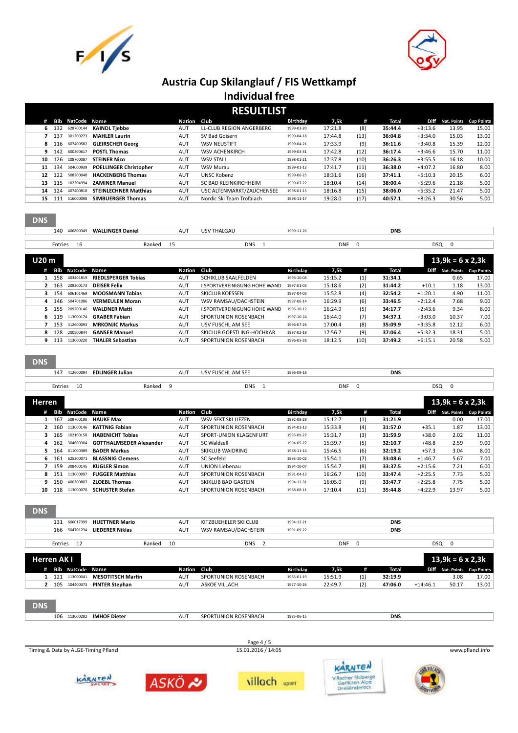



| <b>RESULTLIST</b> |     |           |                               |             |                           |            |         |      |         |           |                        |       |
|-------------------|-----|-----------|-------------------------------|-------------|---------------------------|------------|---------|------|---------|-----------|------------------------|-------|
| #                 | Bib | NatCode   | Name                          | Nation Club |                           | Birthday   | 7,5k    | #    | Total   | Diff      | Nat. Points Cup Points |       |
| 6                 | 132 | 628700144 | <b>KAINDL Tiebbe</b>          | AUT         | LL-CLUB REGION ANGERBERG  | 1999-03-20 | 17:21.8 | (8)  | 35:44.4 | $+3:13.6$ | 13.95                  | 15.00 |
|                   | 137 | 301200273 | <b>MAHLER Laurin</b>          | AUT         | SV Bad Goisern            | 1999-04-18 | 17:44.8 | (13) | 36:04.8 | $+3:34.0$ | 15.03                  | 13.00 |
| 8                 | 116 | 607400582 | <b>GLEIRSCHER Georg</b>       | AUT         | <b>WSV NEUSTIFT</b>       | 1999-04-21 | 17:33.9 | (9)  | 36:11.6 | $+3:40.8$ | 15.39                  | 12.00 |
| 9                 | 142 | 600200617 | <b>POSTL Thomas</b>           | AUT         | <b>WSV ACHENKIRCH</b>     | 1999-03-31 | 17:42.8 | (12) | 36:17.4 | $+3:46.6$ | 15.70                  | 11.00 |
| 10                | 126 | 108700087 | <b>STEINER Nico</b>           | AUT         | <b>WSV STALL</b>          | 1998-01-21 | 17:37.8 | (10) | 36:26.3 | $+3:55.5$ | 16.18                  | 10.00 |
| 11                | 134 | 504000939 | <b>POELLINGER Christopher</b> | AUT         | <b>WSV Murau</b>          | 1999-01-13 | 17:41.7 | (11) | 36:38.0 | $+4:07.2$ | 16.80                  | 8.00  |
| 12                | 122 | 508200048 | <b>HACKENBERG Thomas</b>      | AUT         | <b>UNSC Kobenz</b>        | 1999-06-25 | 18:31.6 | (16) | 37:41.1 | $+5:10.3$ | 20.15                  | 6.00  |
| 13                | 115 | 102204994 | <b>ZAMINER Manuel</b>         | AUT         | SC BAD KLEINKIRCHHEIM     | 1999-07-22 | 18:10.4 | (14) | 38:00.4 | $+5:29.6$ | 21.18                  | 5.00  |
| 14                | 124 | 407400818 | <b>STEINLECHNER Matthias</b>  | AUT         | USC ALTENMARKT/ZAUCHENSEE | 1998-01-15 | 18:16.8 | (15) | 38:06.0 | $+5:35.2$ | 21.47                  | 5.00  |
| 15                | 111 | 516000098 | <b>SIMBUERGER Thomas</b>      | AUT         | Nordic Ski Team Trofajach | 1998-11-17 | 19:28.0 | (17) | 40:57.1 | $+8:26.3$ | 30.56                  | 5.00  |
|                   |     |           |                               |             |                           |            |         |      |         |           |                        |       |

| 140          | 406800349 | LLINGER Daniel<br><b>WAL</b> |                  | AU <sup>.</sup> | / THALGAU |            |  |            | <b>DNS</b> |  |  |
|--------------|-----------|------------------------------|------------------|-----------------|-----------|------------|--|------------|------------|--|--|
|              |           |                              |                  |                 |           |            |  |            |            |  |  |
| Entries<br>. | $\sim$    |                              | Ranked<br>$\sim$ |                 |           | <b>DNS</b> |  | <b>DNI</b> | <b>DSO</b> |  |  |

| U20 m |     |           |                            |             |                              |            |         |      |         |           |                        |       |  |
|-------|-----|-----------|----------------------------|-------------|------------------------------|------------|---------|------|---------|-----------|------------------------|-------|--|
| #     | Bib | NatCode   | Name                       | Nation Club |                              | Birthday   | 7,5k    | ′#   | Total   | Diff      | Nat. Points Cup Points |       |  |
| 1.    | 158 | 403401819 | <b>RIEDLSPERGER Tobias</b> | AUT         | <b>SCHIKLUB SAALFELDEN</b>   | 1996-10-08 | 15:15.2 | (1)  | 31:34.1 |           | 0.65                   | 17.00 |  |
| 2     | 163 | 209200173 | <b>DEISER Felix</b>        | AUT         | I.SPORTVEREINIGUNG HOHE WAND | 1997-01-03 | 15:18.6 | (2)  | 31:44.2 | $+10.1$   | 1.18                   | 13.00 |  |
| 3.    | 154 | 606101469 | <b>MOOSMANN Tobias</b>     | AUT         | <b>SKICLUB KOESSEN</b>       | 1997-04-03 | 15:52.8 | (4)  | 32:54.2 | $+1:20.1$ | 4.90                   | 11.00 |  |
| 4     | 146 | 504701086 | <b>VERMEULEN Moran</b>     | <b>AUT</b>  | WSV RAMSAU/DACHSTEIN         | 1997-06-14 | 16:29.9 | (6)  | 33:46.5 | $+2:12.4$ | 7.68                   | 9.00  |  |
| 5.    | 155 | 209200146 | <b>WALDNER Matti</b>       | AUT         | I.SPORTVEREINIGUNG HOHE WAND | 1996-10-12 | 16:24.9 | (5)  | 34:17.7 | $+2:43.6$ | 9.34                   | 8.00  |  |
| 6     | 119 | 113000174 | <b>GRABER Fabian</b>       | AUT         | SPORTUNION ROSENBACH         | 1997-10-24 | 16:44.0 | (7)  | 34:37.1 | $+3:03.0$ | 10.37                  | 7.00  |  |
|       | 153 | 412600093 | <b>MRKONJIC Markus</b>     | <b>AUT</b>  | USV FUSCHL AM SEE            | 1996-07-26 | 17:00.4 | (8)  | 35:09.9 | $+3:35.8$ | 12.12                  | 6.00  |  |
| 8     | 128 | 200500844 | <b>GANSER Manuel</b>       | <b>AUT</b>  | SKICLUB GOESTLING-HOCHKAR    | 1997-02-19 | 17:56.7 | (9)  | 37:06.4 | $+5:32.3$ | 18.31                  | 5.00  |  |
| 9     | 113 | 113000220 | <b>THALER Sebastian</b>    | AUT         | SPORTUNION ROSENBACH         | 1996-05-28 | 18:12.5 | (10) | 37:49.2 | $+6:15.1$ | 20.58                  | 5.00  |  |

| 147<br>412600094<br><b>EDLINGER Julian</b><br>. | AUT | <b>FUSCHL AM SEE</b><br>USV F | 1996-09-18<br>. | <b>DNS</b> |
|-------------------------------------------------|-----|-------------------------------|-----------------|------------|
|                                                 |     |                               |                 |            |

|                | Entries | 10        | Ranked                         | 9           | <b>DNS</b>              |            | <b>DNF</b> | 0    |         | <b>DSQ</b> | 0                       |                        |
|----------------|---------|-----------|--------------------------------|-------------|-------------------------|------------|------------|------|---------|------------|-------------------------|------------------------|
| Herren         |         |           |                                |             |                         |            |            |      |         |            | $13.9k = 6 \times 2.3k$ |                        |
| #              | Bib     | NatCode   | Name                           | Nation Club |                         | Birthday   | 7,5k       | #    | Total   | Diff       |                         | Nat. Points Cup Points |
|                | 167     | 509700198 | <b>HAUKE Max</b>               | AUT         | WSV SEKT.SKI LIEZEN     | 1992-08-29 | 15:12.7    | (1)  | 31:21.9 |            | 0.00                    | 17.00                  |
| 2              | 160     | 113000146 | <b>KATTNIG Fabian</b>          | <b>AUT</b>  | SPORTUNION ROSENBACH    | 1994-01-13 | 15:33.8    | (4)  | 31:57.0 | $+35.1$    | 1.87                    | 13.00                  |
| з.             | 165     | 102100158 | <b>HABENICHT Tobias</b>        | <b>AUT</b>  | SPORT-UNION KLAGENFURT  | 1993-09-27 | 15:31.7    | (3)  | 31:59.9 | $+38.0$    | 2.02                    | 11.00                  |
| 4              | 162     | 304600304 | <b>GOTTHALMSEDER Alexander</b> | <b>AUT</b>  | SC Waldzell             | 1994-05-27 | 15:39.7    | (5)  | 32:10.7 | $+48.8$    | 2.59                    | 9.00                   |
| 5.             | 164     | 611000389 | <b>BADER Markus</b>            | <b>AUT</b>  | <b>SKIKLUB WAIDRING</b> | 1988-11-14 | 15:46.5    | (6)  | 32:19.2 | $+57.3$    | 3.04                    | 8.00                   |
| 6.             | 161     | 625200071 | <b>BLASSNIG Clemens</b>        | AUT         | SC Seefeld              | 1993-10-02 | 15:54.1    | (7)  | 33:08.6 | $+1:46.7$  | 5.67                    | 7.00                   |
| $\overline{ }$ | 159     | 308400145 | <b>KUGLER Simon</b>            | <b>AUT</b>  | UNION Liebenau          | 1994-10-07 | 15:54.7    | (8)  | 33:37.5 | $+2:15.6$  | 7.21                    | 6.00                   |
| 8              | 151     | 113000097 | <b>FUGGER Matthias</b>         | <b>AUT</b>  | SPORTUNION ROSENBACH    | 1991-04-13 | 16:26.7    | (10) | 33:47.4 | $+2:25.5$  | 7.73                    | 5.00                   |
| 9              | 150     | 400300807 | <b>ZLOEBL Thomas</b>           | AUT         | SKIKLUB BAD GASTEIN     | 1994-12-31 | 16:05.0    | (9)  | 33:47.7 | $+2:25.8$  | 7.75                    | 5.00                   |
| 10             | 118     | 113000070 | <b>SCHUSTER Stefan</b>         | <b>AUT</b>  | SPORTUNION ROSENBACH    | 1988-08-11 | 17:10.4    | (11) | 35:44.8 | $+4:22.9$  | 13.97                   | 5.00                   |

| <b>DNS</b>                              |              |                       |            |            |            |  |
|-----------------------------------------|--------------|-----------------------|------------|------------|------------|--|
| 131 606017399 HUETTNER Mario            | <b>AUT</b>   | KITZBUEHELER SKI CLUB | 1994-12-21 |            | <b>DNS</b> |  |
| <b>LIEDERER Niklas</b><br>166 504701234 | <b>AUT</b>   | WSV RAMSAU/DACHSTEIN  | 1991-09-22 |            | <b>DNS</b> |  |
|                                         |              |                       |            |            |            |  |
| Entries<br>12                           | 10<br>Ranked | <b>DNS</b>            |            | <b>DNF</b> | <b>DSQ</b> |  |
|                                         |              |                       |            |            |            |  |

|            | Herren AK I |                         |                          |             |                      |            |         |                     |         |            | $13,9k = 6 \times 2,3k$ |                             |
|------------|-------------|-------------------------|--------------------------|-------------|----------------------|------------|---------|---------------------|---------|------------|-------------------------|-----------------------------|
| #          |             | <b>Bib NatCode Name</b> |                          | Nation Club |                      | Birthday   | 7,5k    | #                   | Total   |            |                         | Diff Nat. Points Cup Points |
|            |             | 121 113000041           | <b>MESOTITSCH Martin</b> | <b>AUT</b>  | SPORTUNION ROSENBACH | 1983-01-19 | 15:51.9 | $\scriptstyle{(1)}$ | 32:19.9 |            | 3.08                    | 17.00                       |
|            |             | 105 104400373           | <b>PINTER Stephan</b>    | <b>AUT</b>  | ASKOE VILLACH        | 1977-10-26 | 22:49.7 | (2)                 | 47:06.0 | $+14:46.1$ | 50.17                   | 13.00                       |
| <b>DNS</b> |             |                         |                          |             |                      |            |         |                     |         |            |                         |                             |

113000282 **IMHOF Dieter** AUT SPORTUNION ROSENBACH 1985-06-15 **DNS**







KARNTEN